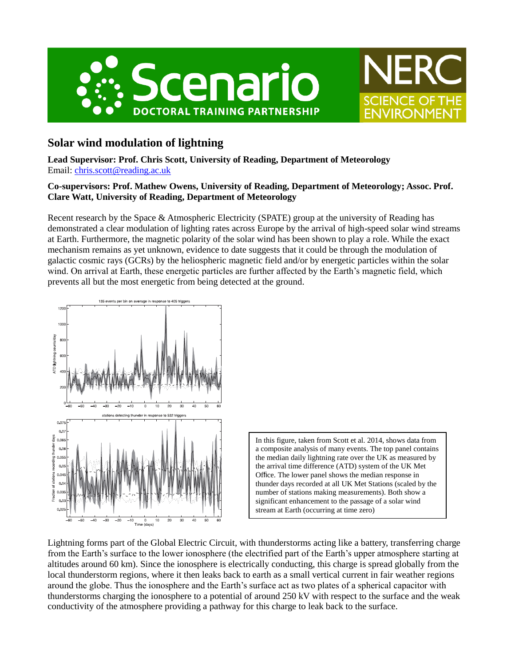



# **Solar wind modulation of lightning**

**Lead Supervisor: Prof. Chris Scott, University of Reading, Department of Meteorology** Email: [chris.scott@reading.ac.uk](mailto:chris.scott@reading.ac.uk)

## **Co-supervisors: Prof. Mathew Owens, University of Reading, Department of Meteorology; Assoc. Prof. Clare Watt, University of Reading, Department of Meteorology**

Recent research by the Space & Atmospheric Electricity (SPATE) group at the university of Reading has demonstrated a clear modulation of lighting rates across Europe by the arrival of high-speed solar wind streams at Earth. Furthermore, the magnetic polarity of the solar wind has been shown to play a role. While the exact mechanism remains as yet unknown, evidence to date suggests that it could be through the modulation of galactic cosmic rays (GCRs) by the heliospheric magnetic field and/or by energetic particles within the solar wind. On arrival at Earth, these energetic particles are further affected by the Earth's magnetic field, which prevents all but the most energetic from being detected at the ground.



In this figure, taken from Scott et al. 2014, shows data from a composite analysis of many events. The top panel contains the median daily lightning rate over the UK as measured by the arrival time difference (ATD) system of the UK Met Office. The lower panel shows the median response in thunder days recorded at all UK Met Stations (scaled by the number of stations making measurements). Both show a significant enhancement to the passage of a solar wind stream at Earth (occurring at time zero)

Lightning forms part of the Global Electric Circuit, with thunderstorms acting like a battery, transferring charge from the Earth's surface to the lower ionosphere (the electrified part of the Earth's upper atmosphere starting at altitudes around 60 km). Since the ionosphere is electrically conducting, this charge is spread globally from the local thunderstorm regions, where it then leaks back to earth as a small vertical current in fair weather regions around the globe. Thus the ionosphere and the Earth's surface act as two plates of a spherical capacitor with thunderstorms charging the ionosphere to a potential of around 250 kV with respect to the surface and the weak conductivity of the atmosphere providing a pathway for this charge to leak back to the surface.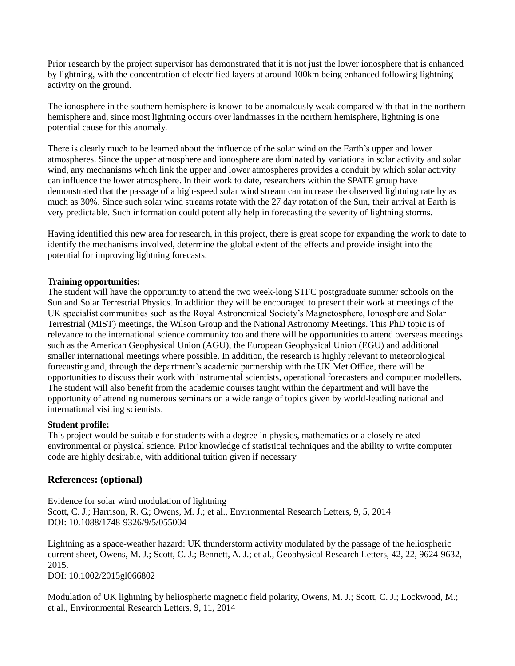Prior research by the project supervisor has demonstrated that it is not just the lower ionosphere that is enhanced by lightning, with the concentration of electrified layers at around 100km being enhanced following lightning activity on the ground.

The ionosphere in the southern hemisphere is known to be anomalously weak compared with that in the northern hemisphere and, since most lightning occurs over landmasses in the northern hemisphere, lightning is one potential cause for this anomaly.

There is clearly much to be learned about the influence of the solar wind on the Earth's upper and lower atmospheres. Since the upper atmosphere and ionosphere are dominated by variations in solar activity and solar wind, any mechanisms which link the upper and lower atmospheres provides a conduit by which solar activity can influence the lower atmosphere. In their work to date, researchers within the SPATE group have demonstrated that the passage of a high-speed solar wind stream can increase the observed lightning rate by as much as 30%. Since such solar wind streams rotate with the 27 day rotation of the Sun, their arrival at Earth is very predictable. Such information could potentially help in forecasting the severity of lightning storms.

Having identified this new area for research, in this project, there is great scope for expanding the work to date to identify the mechanisms involved, determine the global extent of the effects and provide insight into the potential for improving lightning forecasts.

#### **Training opportunities:**

The student will have the opportunity to attend the two week-long STFC postgraduate summer schools on the Sun and Solar Terrestrial Physics. In addition they will be encouraged to present their work at meetings of the UK specialist communities such as the Royal Astronomical Society's Magnetosphere, Ionosphere and Solar Terrestrial (MIST) meetings, the Wilson Group and the National Astronomy Meetings. This PhD topic is of relevance to the international science community too and there will be opportunities to attend overseas meetings such as the American Geophysical Union (AGU), the European Geophysical Union (EGU) and additional smaller international meetings where possible. In addition, the research is highly relevant to meteorological forecasting and, through the department's academic partnership with the UK Met Office, there will be opportunities to discuss their work with instrumental scientists, operational forecasters and computer modellers. The student will also benefit from the academic courses taught within the department and will have the opportunity of attending numerous seminars on a wide range of topics given by world-leading national and international visiting scientists.

#### **Student profile:**

This project would be suitable for students with a degree in physics, mathematics or a closely related environmental or physical science. Prior knowledge of statistical techniques and the ability to write computer code are highly desirable, with additional tuition given if necessary

### **References: (optional)**

Evidence for solar wind modulation of lightning Scott, C. J.; Harrison, R. G.; Owens, M. J.; et al., Environmental Research Letters, 9, 5, 2014 DOI: 10.1088/1748-9326/9/5/055004

Lightning as a space-weather hazard: UK thunderstorm activity modulated by the passage of the heliospheric current sheet, Owens, M. J.; Scott, C. J.; Bennett, A. J.; et al., Geophysical Research Letters, 42, 22, 9624-9632, 2015.

DOI: 10.1002/2015gl066802

Modulation of UK lightning by heliospheric magnetic field polarity, Owens, M. J.; Scott, C. J.; Lockwood, M.; et al., Environmental Research Letters, 9, 11, 2014